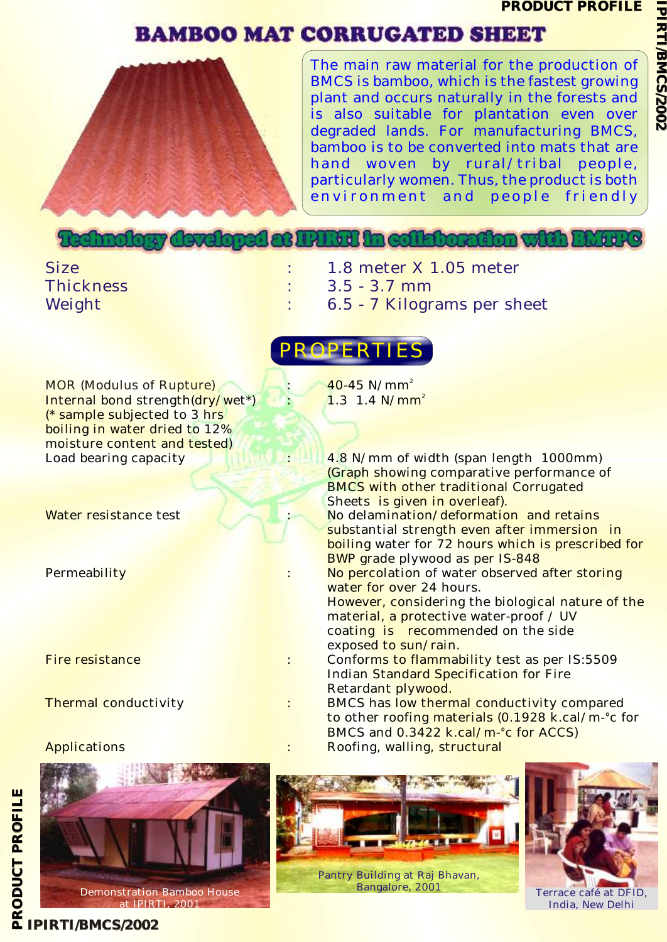**IPIR**

**TI** <u>ਜ</u> **M C**

**S 2/ 0 0 2**

# **BAMBOO MAT CORRUGATED SHEET**



The main raw material for the production of BMCS is bamboo, which is the fastest growing plant and occurs naturally in the forests and is also suitable for plantation even over degraded lands. For manufacturing BMCS, bamboo is to be converted into mats that are hand woven by rural/tribal people, particularly women. Thus, the product is both environment and people friendly

## The had bour developed. **BIGE in collabora**

- Size : 1.8 meter X 1.05 meter
- Thickness : 3.5 3.7 mm
- Weight : 6.5 7 Kilograms per sheet



MOR (Modulus of Rupture) Internal bond strength(dry/wet\*) (\* sample subjected to 3 hrs boiling in water dried to 12% moisture content and tested)



at IPIRTI, 2001

40-45 N/mm<sup>2</sup>  $1.3 \, 1.4 \, \text{N/mm}^2$ 

Load bearing capacity **1996 1000 1000 1000 1000 1000 1000 1000 1000 1000 1000 1000 1000 1000 1000 1000 1000 1000 1000 1000 1000 1000 1000 1000 1000 1000 1000 1000 100** (Graph showing comparative performance of BMCS with other traditional Corrugated Sheets is given in overleaf). Water resistance test  $\blacksquare$  : No delamination/deformation and retains substantial strength even after immersion in boiling water for 72 hours which is prescribed for BWP grade plywood as per IS-848 Permeability **Superversion Contains the Superversion of the Superversion of water observed after storing** water for over 24 hours. However, considering the biological nature of the material, a protective water-proof / UV coating is recommended on the side exposed to sun/rain. Fire resistance : Conforms to flammability test as per IS:5509 Indian Standard Specification for Fire Retardant plywood.

Thermal conductivity **EXECUTE:** BMCS has low thermal conductivity compared to other roofing materials (0.1928 k.cal/m-°c for BMCS and 0.3422 k.cal/m-°c for ACCS) Applications : Roofing, walling, structural





### **P IPIRTI/BMCS/2002**